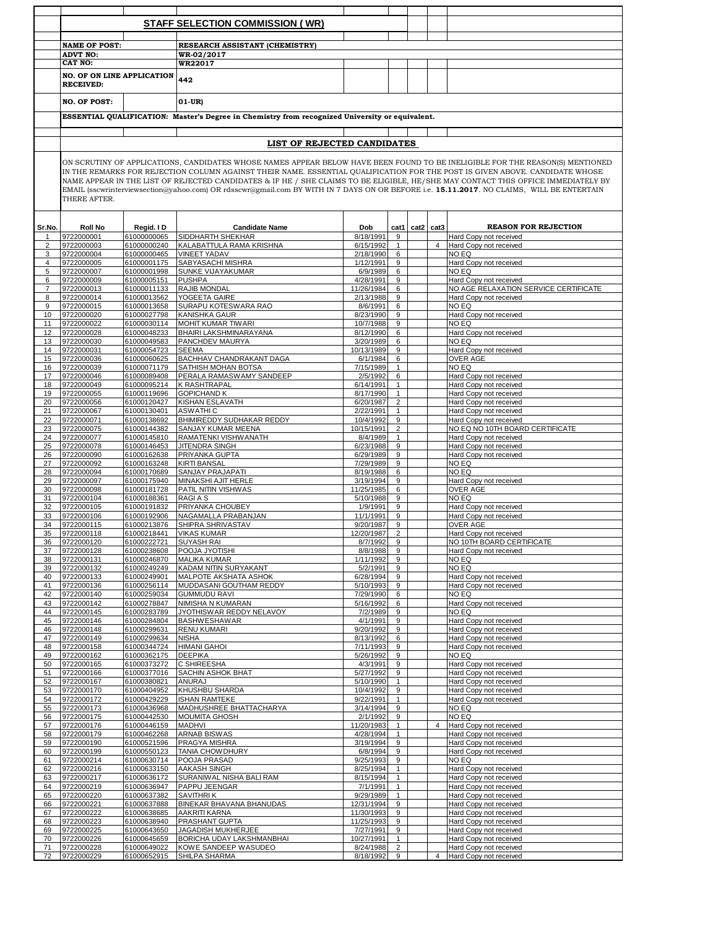|                |                                   |                            | <b>STAFF SELECTION COMMISSION (WR)</b>                                                                                                                                                                                                                        |                          |                              |      |                |                                                     |
|----------------|-----------------------------------|----------------------------|---------------------------------------------------------------------------------------------------------------------------------------------------------------------------------------------------------------------------------------------------------------|--------------------------|------------------------------|------|----------------|-----------------------------------------------------|
|                |                                   |                            |                                                                                                                                                                                                                                                               |                          |                              |      |                |                                                     |
|                | <b>NAME OF POST:</b>              |                            | RESEARCH ASSISTANT (CHEMISTRY)                                                                                                                                                                                                                                |                          |                              |      |                |                                                     |
|                | <b>ADVT NO:</b><br><b>CAT NO:</b> |                            | WR-02/2017<br>WR22017                                                                                                                                                                                                                                         |                          |                              |      |                |                                                     |
|                | <b>NO. OF ON LINE APPLICATION</b> |                            |                                                                                                                                                                                                                                                               |                          |                              |      |                |                                                     |
|                | <b>RECEIVED:</b>                  |                            | 442                                                                                                                                                                                                                                                           |                          |                              |      |                |                                                     |
|                | <b>NO. OF POST:</b>               |                            | $01-UR$                                                                                                                                                                                                                                                       |                          |                              |      |                |                                                     |
|                |                                   |                            | ESSENTIAL QUALIFICATION: Master's Degree in Chemistry from recognized University or equivalent.                                                                                                                                                               |                          |                              |      |                |                                                     |
|                |                                   |                            |                                                                                                                                                                                                                                                               |                          |                              |      |                |                                                     |
|                |                                   |                            | LIST OF REJECTED CANDIDATES                                                                                                                                                                                                                                   |                          |                              |      |                |                                                     |
|                |                                   |                            |                                                                                                                                                                                                                                                               |                          |                              |      |                |                                                     |
|                |                                   |                            | ON SCRUTINY OF APPLICATIONS, CANDIDATES WHOSE NAMES APPEAR BELOW HAVE BEEN FOUND TO BE INELIGIBLE FOR THE REASON(S) MENTIONED<br>IN THE REMARKS FOR REJECTION COLUMN AGAINST THEIR NAME. ESSENTIAL QUALIFICATION FOR THE POST IS GIVEN ABOVE. CANDIDATE WHOSE |                          |                              |      |                |                                                     |
|                |                                   |                            | NAME APPEAR IN THE LIST OF REJECTED CANDIDATES & IF HE / SHE CLAIMS TO BE ELIGIBLE, HE/SHE MAY CONTACT THIS OFFICE IMMEDIATELY BY                                                                                                                             |                          |                              |      |                |                                                     |
|                |                                   |                            | EMAIL (sscwrinterviewsection@yahoo.com) OR rdsscwr@gmail.com BY WITH IN 7 DAYS ON OR BEFORE i.e. 15.11.2017. NO CLAIMS, WILL BE ENTERTAIN                                                                                                                     |                          |                              |      |                |                                                     |
|                | THERE AFTER.                      |                            |                                                                                                                                                                                                                                                               |                          |                              |      |                |                                                     |
|                |                                   |                            |                                                                                                                                                                                                                                                               |                          |                              |      |                |                                                     |
| Sr.No.         | <b>Roll No</b>                    | Regid. I D                 | <b>Candidate Name</b>                                                                                                                                                                                                                                         | Dob                      | cat1                         | cat2 | cat3           | <b>REASON FOR REJECTION</b>                         |
| $\overline{2}$ | 9722000001<br>9722000003          | 61000000065<br>61000000240 | SIDDHARTH SHEKHAR<br>KALABATTULA RAMA KRISHNA                                                                                                                                                                                                                 | 8/18/1991<br>6/15/1992   | 9<br>$\mathbf{1}$            |      | $\overline{4}$ | Hard Copy not received<br>Hard Copy not received    |
| 3              | 9722000004                        | 61000000465                | <b>VINEET YADAV</b>                                                                                                                                                                                                                                           | 2/18/1990                | 6                            |      |                | NO EQ                                               |
| 4              | 9722000005                        | 61000001175                | SABYASACHI MISHRA                                                                                                                                                                                                                                             | 1/12/1991                | 9                            |      |                | Hard Copy not received                              |
| 5<br>6         | 9722000007<br>9722000009          | 61000001998<br>61000005151 | <b>SUNKE VIJAYAKUMAR</b><br><b>PUSHPA</b>                                                                                                                                                                                                                     | 6/9/1989<br>4/28/1991    | 6<br>9                       |      |                | NO EQ<br>Hard Copy not received                     |
| $\overline{7}$ | 9722000013                        | 61000011133                | <b>RAJIB MONDAL</b>                                                                                                                                                                                                                                           | 11/26/1984               | 6                            |      |                | NO AGE RELAXATION SERVICE CERTIFICATE               |
| 8              | 9722000014                        | 61000013562                | YOGEETA GAIRE                                                                                                                                                                                                                                                 | 2/13/1988                | 9                            |      |                | Hard Copy not received                              |
| 9<br>10        | 9722000015<br>9722000020          | 61000013658<br>61000027798 | SURAPU KOTESWARA RAO<br><b>KANISHKA GAUR</b>                                                                                                                                                                                                                  | 8/6/1991<br>8/23/1990    | 6<br>9                       |      |                | NO EQ<br>Hard Copy not received                     |
| 11             | 9722000022                        | 61000030114                | <b>MOHIT KUMAR TIWARI</b>                                                                                                                                                                                                                                     | 10/7/1988                | 9                            |      |                | NO EQ                                               |
| 12             | 9722000028                        | 61000048233                | BHAIRI LAKSHMINARAYANA                                                                                                                                                                                                                                        | 8/12/1990                | 6                            |      |                | Hard Copy not received                              |
| 13<br>14       | 9722000030<br>9722000031          | 61000049583<br>61000054723 | PANCHDEV MAURYA<br><b>SEEMA</b>                                                                                                                                                                                                                               | 3/20/1989<br>10/13/1989  | 6<br>9                       |      |                | NO EQ<br>Hard Copy not received                     |
| 15             | 9722000036                        | 61000060625                | BACHHAV CHANDRAKANT DAGA                                                                                                                                                                                                                                      | 6/1/1984                 | 6                            |      |                | OVER AGE                                            |
| 16             | 9722000039                        | 61000071179                | SATHISH MOHAN BOTSA                                                                                                                                                                                                                                           | 7/15/1989                | $\mathbf{1}$                 |      |                | NO EQ                                               |
| 17<br>18       | 9722000046<br>9722000049          | 61000089408<br>61000095214 | PERALA RAMASWAMY SANDEEP<br><b>K RASHTRAPAL</b>                                                                                                                                                                                                               | 2/5/1992<br>6/14/1991    | 6<br>$\mathbf{1}$            |      |                | Hard Copy not received<br>Hard Copy not received    |
| 19             | 9722000055                        | 61000119696                | <b>GOPICHAND K</b>                                                                                                                                                                                                                                            | 8/17/1990                | $\mathbf{1}$                 |      |                | Hard Copy not received                              |
| 20             | 9722000056                        | 61000120427                | KISHAN ESLAVATH                                                                                                                                                                                                                                               | 6/20/1987                | 2                            |      |                | Hard Copy not received                              |
| 21<br>22       | 9722000067<br>9722000071          | 61000130401<br>61000138692 | <b>ASWATHIC</b><br>BHIMIREDDY SUDHAKAR REDDY                                                                                                                                                                                                                  | 2/22/1991<br>10/4/1992   | 1<br>9                       |      |                | Hard Copy not received<br>Hard Copy not received    |
| 23             | 9722000075                        | 61000144382                | SANJAY KUMAR MEENA                                                                                                                                                                                                                                            | 10/15/1991               | 2                            |      |                | NO EQ NO 10TH BOARD CERTIFICATE                     |
| 24             | 9722000077                        | 61000145810                | RAMATENKI VISHWANATH                                                                                                                                                                                                                                          | 8/4/1989                 | $\mathbf{1}$                 |      |                | Hard Copy not received                              |
| 25<br>26       | 9722000078<br>9722000090          | 61000146453<br>61000162638 | <b>JITENDRA SINGH</b><br>PRIYANKA GUPTA                                                                                                                                                                                                                       | 6/23/1988<br>6/29/1989   | 9<br>9                       |      |                | Hard Copy not received<br>Hard Copy not received    |
| 27             | 9722000092                        | 61000163248                | <b>KIRTI BANSAL</b>                                                                                                                                                                                                                                           | 7/29/1989                | 9                            |      |                | NO EQ                                               |
| 28<br>29       | 9722000094<br>9722000097          | 61000170689<br>61000175940 | SANJAY PRAJAPATI<br>MINAKSHI AJIT HERLE                                                                                                                                                                                                                       | 8/19/1988<br>3/19/1994   | 6<br>9                       |      |                | NO EQ<br>Hard Copy not received                     |
| 30             | 9722000098                        | 61000181728                | PATIL NITIN VISHWAS                                                                                                                                                                                                                                           | 11/25/1985               | 6                            |      |                | <b>OVER AGE</b>                                     |
| 31             | 9722000104                        | 61000188361                | <b>RAGIAS</b>                                                                                                                                                                                                                                                 | 5/10/1988                | 9                            |      |                | NO EQ                                               |
| 32<br>33       | 9722000105<br>9722000106          | 61000191832<br>61000192906 | PRIYANKA CHOUBEY<br>NAGAMALLA PRABANJAN                                                                                                                                                                                                                       | 1/9/1991<br>11/1/1991    | 9<br>9                       |      |                | Hard Copy not received<br>Hard Copy not received    |
| 34             | 9722000115                        | 61000213876                | SHIPRA SHRIVASTAV                                                                                                                                                                                                                                             | 9/20/1987                | 9                            |      |                | OVER AGE                                            |
|                | 9722000118                        | 61000218441                | <b>VIKAS KUMAR</b>                                                                                                                                                                                                                                            | 2/20/1987                |                              |      |                | Hard Copy not received                              |
| 36<br>37       | 9722000120<br>9722000128          | 61000222721<br>61000238608 | <b>SUYASH RAI</b><br>POOJA JYOTISHI                                                                                                                                                                                                                           | 8/7/1992<br>8/8/1988     | 9<br>9                       |      |                | NO 10TH BOARD CERTIFICATE<br>Hard Copy not received |
| 38             | 9722000131                        | 61000246870                | <b>MALIKA KUMAR</b>                                                                                                                                                                                                                                           | 1/11/1992                | 9                            |      |                | NO EQ                                               |
| 39             | 9722000132                        | 61000249249                | KADAM NITIN SURYAKANT                                                                                                                                                                                                                                         | 5/2/1991                 | 9                            |      |                | NO EQ                                               |
| 40<br>41       | 9722000133<br>9722000136          | 61000249901<br>61000256114 | MALPOTE AKSHATA ASHOK<br>MUDDASANI GOUTHAM REDDY                                                                                                                                                                                                              | 6/28/1994<br>5/10/1993   | 9<br>9                       |      |                | Hard Copy not received<br>Hard Copy not received    |
| 42             | 9722000140                        | 61000259034                | <b>GUMMUDU RAVI</b>                                                                                                                                                                                                                                           | 7/29/1990                | 6                            |      |                | NO EQ                                               |
| 43<br>44       | 9722000142<br>9722000145          | 61000278847<br>61000283789 | NIMISHA N KUMARAN<br>JYOTHISWAR REDDY NELAVOY                                                                                                                                                                                                                 | 5/16/1992<br>7/2/1989    | 6<br>9                       |      |                | Hard Copy not received<br>NO EQ                     |
| 45             | 9722000146                        | 61000284804                | <b>BASHWESHAWAR</b>                                                                                                                                                                                                                                           | 4/1/1991                 | 9                            |      |                | Hard Copy not received                              |
| 46             | 9722000148                        | 61000299631                | <b>RENU KUMARI</b>                                                                                                                                                                                                                                            | 9/20/1992                | 9                            |      |                | Hard Copy not received                              |
| 47<br>48       | 9722000149<br>9722000158          | 61000299634<br>61000344724 | <b>NISHA</b><br><b>HIMANI GAHOI</b>                                                                                                                                                                                                                           | 8/13/1992<br>7/11/1993   | 6<br>9                       |      |                | Hard Copy not received<br>Hard Copy not received    |
| 49             | 9722000162                        | 61000362175                | <b>DEEPIKA</b>                                                                                                                                                                                                                                                | 5/26/1992                | 9                            |      |                | NO EQ                                               |
| 50             | 9722000165                        | 61000373272                | C SHIREESHA                                                                                                                                                                                                                                                   | 4/3/1991                 | 9                            |      |                | Hard Copy not received                              |
| 51<br>52       | 9722000166<br>9722000167          | 61000377016<br>61000380821 | <b>SACHIN ASHOK BHAT</b><br>ANURAJ                                                                                                                                                                                                                            | 5/27/1992<br>5/10/1990   | 9<br>$\mathbf{1}$            |      |                | Hard Copy not received<br>Hard Copy not received    |
| 53             | 9722000170                        | 61000404952                | KHUSHBU SHARDA                                                                                                                                                                                                                                                | 10/4/1992                | 9                            |      |                | Hard Copy not received                              |
| 54             | 9722000172                        | 61000429229                | <b>ISHAN RAMTEKE</b>                                                                                                                                                                                                                                          | 9/22/1991                | $\mathbf{1}$                 |      |                | Hard Copy not received                              |
| 55<br>56       | 9722000173<br>9722000175          | 61000436968<br>61000442530 | MADHUSHREE BHATTACHARYA<br><b>MOUMITA GHOSH</b>                                                                                                                                                                                                               | 3/14/1994<br>2/1/1992    | 9<br>9                       |      |                | NO EQ<br>NO EQ                                      |
| 57             | 9722000176                        | 61000446159                | <b>MADHVI</b>                                                                                                                                                                                                                                                 | 11/20/1983               | $\mathbf{1}$                 |      | $\overline{4}$ | Hard Copy not received                              |
| 58             | 9722000179                        | 61000462268                | ARNAB BISWAS                                                                                                                                                                                                                                                  | 4/28/1994                | $\mathbf{1}$                 |      |                | Hard Copy not received                              |
| 59<br>60       | 9722000190<br>9722000199          | 61000521596<br>61000550123 | PRAGYA MISHRA<br>TANIA CHOWDHURY                                                                                                                                                                                                                              | 3/19/1994<br>6/8/1994    | 9<br>9                       |      |                | Hard Copy not received<br>Hard Copy not received    |
| 61             | 9722000214                        | 61000630714                | POOJA PRASAD                                                                                                                                                                                                                                                  | 9/25/1993                | 9                            |      |                | NO EQ                                               |
| 62             | 9722000216                        | 61000633150                | <b>AAKASH SINGH</b>                                                                                                                                                                                                                                           | 8/25/1994                | $\mathbf{1}$                 |      |                | Hard Copy not received                              |
| 63<br>64       | 9722000217<br>9722000219          | 61000636172<br>61000636947 | SURANIWAL NISHA BALI RAM<br>PAPPU JEENGAR                                                                                                                                                                                                                     | 8/15/1994<br>7/1/1991    | $\mathbf{1}$<br>$\mathbf{1}$ |      |                | Hard Copy not received<br>Hard Copy not received    |
| 65             | 9722000220                        | 61000637382                | <b>SAVITHRIK</b>                                                                                                                                                                                                                                              | 9/29/1989                | $\mathbf{1}$                 |      |                | Hard Copy not received                              |
| 66             | 9722000221                        | 61000637888                | BINEKAR BHAVANA BHANUDAS                                                                                                                                                                                                                                      | 12/31/1994               | 9                            |      |                | Hard Copy not received                              |
| 67<br>68       | 9722000222<br>9722000223          | 61000638685<br>61000638940 | AAKRITI KARNA<br>PRASHANT GUPTA                                                                                                                                                                                                                               | 11/30/1993<br>11/25/1993 | 9<br>9                       |      |                | Hard Copy not received<br>Hard Copy not received    |
| 69             | 9722000225                        | 61000643650                | JAGADISH MUKHERJEE                                                                                                                                                                                                                                            | 7/27/1991                | 9                            |      |                | Hard Copy not received                              |
| 70             | 9722000226                        | 61000645659                | BORICHA UDAY LAKSHMANBHAI                                                                                                                                                                                                                                     | 10/27/1991               | $\mathbf{1}$                 |      |                | Hard Copy not received                              |
| 71<br>72       | 9722000228<br>9722000229          | 61000649022<br>61000652915 | KOWE SANDEEP WASUDEO<br>SHILPA SHARMA                                                                                                                                                                                                                         | 8/24/1988<br>8/18/1992   | $\overline{2}$<br>9          |      | $\overline{4}$ | Hard Copy not received<br>Hard Copy not received    |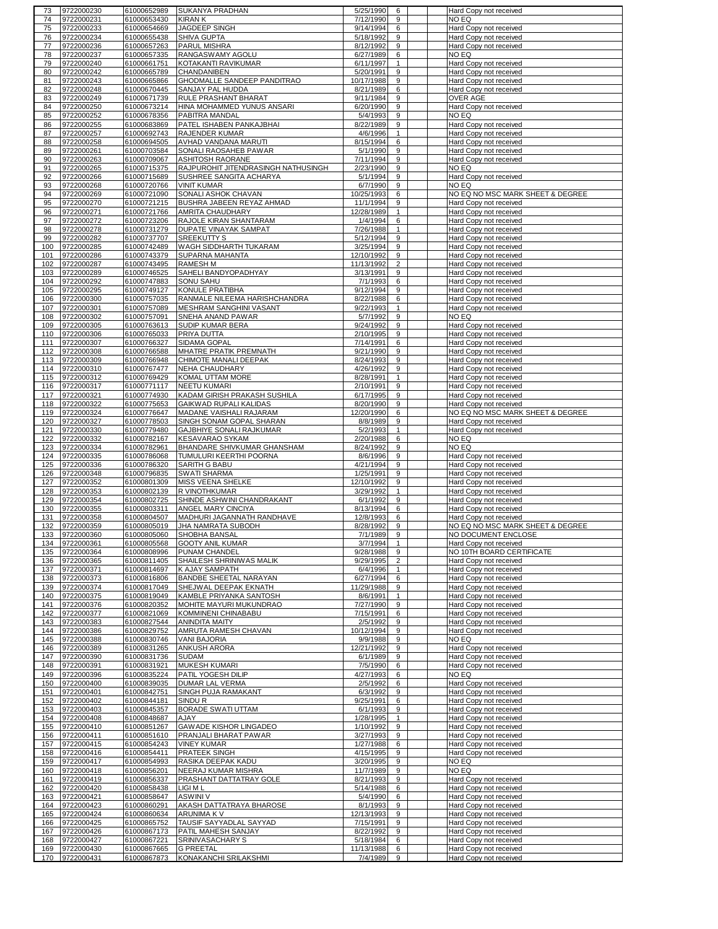| 73         | 9722000230               | 61000652989                | <b>SUKANYA PRADHAN</b>                    | 5/25/1990              | 6            | Hard Copy not received                           |
|------------|--------------------------|----------------------------|-------------------------------------------|------------------------|--------------|--------------------------------------------------|
| 74         | 9722000231               | 61000653430                | <b>KIRAN K</b>                            | 7/12/1990              | 9            | NO EQ                                            |
| 75         | 9722000233               | 61000654669                | JAGDEEP SINGH                             | 9/14/1994              | 6            | Hard Copy not received                           |
| 76         | 9722000234               | 61000655438                | SHIVA GUPTA                               | 5/18/1992              | 9            | Hard Copy not received                           |
| 77         | 9722000236               | 61000657263                | <b>PARUL MISHRA</b>                       | 8/12/1992              | 9            | Hard Copy not received                           |
|            |                          |                            |                                           | 6/27/1989              |              |                                                  |
| 78         | 9722000237               | 61000657335                | RANGASWAMY AGOLU                          |                        | 6            | NO EQ                                            |
| 79         | 9722000240               | 61000661751                | KOTAKANTI RAVIKUMAR                       | 6/11/1997              | $\mathbf{1}$ | Hard Copy not received                           |
| 80         | 9722000242               | 61000665789                | CHANDANIBEN                               | 5/20/1991              | 9            | Hard Copy not received                           |
| 81         | 9722000243               | 61000665866                | GHODMALLE SANDEEP PANDITRAO               | 10/17/1988             | 9            | Hard Copy not received                           |
| 82         | 9722000248               | 61000670445                | SANJAY PAL HUDDA                          | 8/21/1989              | 6            | Hard Copy not received                           |
| 83         | 9722000249               | 61000671739                | RULE PRASHANT BHARAT                      | 9/11/1984              | 9            | OVER AGE                                         |
| 84         | 9722000250               | 61000673214                | HINA MOHAMMED YUNUS ANSARI                | 6/20/1990              | 9            | Hard Copy not received                           |
|            |                          |                            |                                           |                        |              |                                                  |
| 85         | 9722000252               | 61000678356                | PABITRA MANDAL                            | 5/4/1993               | 9            | NO EQ                                            |
| 86         | 9722000255               | 61000683869                | PATEL ISHABEN PANKAJBHAI                  | 8/22/1989              | 9            | Hard Copy not received                           |
| 87         | 9722000257               | 61000692743                | RAJENDER KUMAR                            | 4/6/1996               | $\mathbf{1}$ | Hard Copy not received                           |
| 88         | 9722000258               | 61000694505                | AVHAD VANDANA MARUTI                      | 8/15/1994              | 6            | Hard Copy not received                           |
| 89         | 9722000261               | 61000703584                | SONALI RAOSAHEB PAWAR                     | 5/1/1990               | 9            | Hard Copy not received                           |
| 90         | 9722000263               | 61000709067                | <b>ASHITOSH RAORANE</b>                   | 7/11/1994              | 9            | Hard Copy not received                           |
|            | 9722000265               | 61000715375                | RAJPUROHIT JITENDRASINGH NATHUSINGH       | 2/23/1990              | 9            | NO EQ                                            |
| 91         |                          |                            |                                           |                        |              |                                                  |
| 92         | 9722000266               | 61000715689                | SUSHREE SANGITA ACHARYA                   | 5/1/1994               | 9            | Hard Copy not received                           |
| 93         | 9722000268               | 61000720766                | <b>VINIT KUMAR</b>                        | 6/7/1990               | 9            | NO EQ                                            |
| 94         | 9722000269               | 61000721090                | SONALI ASHOK CHAVAN                       | 10/25/1993             | 6            | NO EQ NO MSC MARK SHEET & DEGREE                 |
| 95         | 9722000270               | 61000721215                | BUSHRA JABEEN REYAZ AHMAD                 | 11/1/1994              | 9            | Hard Copy not received                           |
| 96         | 9722000271               | 61000721766                | AMRITA CHAUDHARY                          | 12/28/1989             | $\mathbf{1}$ | Hard Copy not received                           |
| 97         | 9722000272               | 61000723206                | RAJOLE KIRAN SHANTARAM                    | 1/4/1994               | 6            | Hard Copy not received                           |
|            |                          |                            |                                           |                        | $\mathbf{1}$ |                                                  |
| 98         | 9722000278               | 61000731279                | DUPATE VINAYAK SAMPAT                     | 7/26/1988              |              | Hard Copy not received                           |
| 99         | 9722000282               | 61000737707                | <b>SREEKUTTY S</b>                        | 5/12/1994              | 9            | Hard Copy not received                           |
| 100        | 9722000285               | 61000742489                | WAGH SIDDHARTH TUKARAM                    | 3/25/1994              | 9            | Hard Copy not received                           |
| 101        | 9722000286               | 61000743379                | SUPARNA MAHANTA                           | 12/10/1992             | 9            | Hard Copy not received                           |
| 102        | 9722000287               | 61000743495                | <b>RAMESH M</b>                           | 11/13/1992             | 2            | Hard Copy not received                           |
| 103        | 9722000289               | 61000746525                | SAHELI BANDYOPADHYAY                      | 3/13/1991              | 9            | Hard Copy not received                           |
|            |                          |                            |                                           |                        |              |                                                  |
| 104        | 9722000292               | 61000747883                | <b>SONU SAHU</b>                          | 7/1/1993               | 6            | Hard Copy not received                           |
| 105        | 9722000295               | 61000749127                | KONULE PRATIBHA                           | 9/12/1994              | 9            | Hard Copy not received                           |
| 106        | 9722000300               | 61000757035                | RANMALE NILEEMA HARISHCHANDRA             | 8/22/1988              | 6            | Hard Copy not received                           |
| 107        | 9722000301               | 61000757089                | MESHRAM SANGHINI VASANT                   | 9/22/1993              | $\mathbf{1}$ | Hard Copy not received                           |
| 108        | 9722000302               | 61000757091                | SNEHA ANAND PAWAR                         | 5/7/1992               | 9            | NO EQ                                            |
| 109        | 9722000305               | 61000763613                | SUDIP KUMAR BERA                          | 9/24/1992              | 9            | Hard Copy not received                           |
| 110        | 9722000306               | 61000765033                | PRIYA DUTTA                               | 2/10/1995              | 9            | Hard Copy not received                           |
|            |                          |                            |                                           |                        |              |                                                  |
| 111        | 9722000307               | 61000766327                | SIDAMA GOPAL                              | 7/14/1991              | 6            | Hard Copy not received                           |
| 112        | 9722000308               | 61000766588                | MHATRE PRATIK PREMNATH                    | 9/21/1990              | 9            | Hard Copy not received                           |
| 113        | 9722000309               | 61000766948                | CHIMOTE MANALI DEEPAK                     | 8/24/1993              | 9            | Hard Copy not received                           |
| 114        | 9722000310               | 61000767477                | NEHA CHAUDHARY                            | 4/26/1992              | 9            | Hard Copy not received                           |
| 115        | 9722000312               | 61000769429                | KOMAL UTTAM MORE                          | 8/28/1991              | $\mathbf{1}$ | Hard Copy not received                           |
| 116        | 9722000317               | 61000771117                | <b>NEETU KUMARI</b>                       | 2/10/1991              | 9            | Hard Copy not received                           |
|            |                          |                            |                                           |                        |              |                                                  |
| 117        | 9722000321               | 61000774930                | KADAM GIRISH PRAKASH SUSHILA              | 6/17/1995              | 9            | Hard Copy not received                           |
| 118        | 9722000322               | 61000775653                | GAIKWAD RUPALI KALIDAS                    | 8/20/1990              | 9            | Hard Copy not received                           |
| 119        | 9722000324               | 61000776647                | MADANE VAISHALI RAJARAM                   | 12/20/1990             | 6            | NO EQ NO MSC MARK SHEET & DEGREE                 |
| 120        | 9722000327               | 61000778503                | SINGH SONAM GOPAL SHARAN                  | 8/8/1989               | 9            | Hard Copy not received                           |
|            |                          |                            | GAJBHIYE SONALI RAJKUMAR                  | 5/2/1993               | $\mathbf{1}$ | Hard Copy not received                           |
|            |                          |                            |                                           |                        |              |                                                  |
| 121        | 9722000330               | 61000779480                |                                           |                        |              |                                                  |
| 122        | 9722000332               | 61000782167                | <b>KESAVARAO SYKAM</b>                    | 2/20/1988              | 6            | NO EQ                                            |
| 123        | 9722000334               | 61000782961                | BHANDARE SHIVKUMAR GHANSHAM               | 8/24/1992              | 9            | NO EQ                                            |
| 124        | 9722000335               | 61000786068                | TUMULURI KEERTHI POORNA                   | 8/6/1996               | 9            | Hard Copy not received                           |
| 125        | 9722000336               | 61000786320                | SARITH G BABU                             | 4/21/1994              | 9            | Hard Copy not received                           |
| 126        | 9722000348               | 61000796835                | <b>SWATI SHARMA</b>                       | 1/25/1991              | 9            | Hard Copy not received                           |
| 127        |                          |                            | MISS VEENA SHELKE                         |                        | 9            |                                                  |
|            | 9722000352               | 61000801309                |                                           | 12/10/1992             |              | Hard Copy not received                           |
| 128        | 9722000353               | 61000802139                | R VINOTHKUMAR                             | 3/29/1992              | $\mathbf{1}$ | Hard Copy not received                           |
| 129        | 9722000354               | 61000802725                | SHINDE ASHWINI CHANDRAKANT                | 6/1/1992               | 9            | Hard Copy not received                           |
| 130        | 9722000355               | 61000803311                | ANGEL MARY CINCIYA                        | 8/13/1994              | 6            | Hard Copy not received                           |
| 131        | 9722000358               | 61000804507                | MADHURI JAGANNATH RANDHAVE                | 12/8/1993              | 6            | Hard Copy not received                           |
| 132        | 9722000359               | 61000805019                | JHA NAMRATA SUBODH                        | 8/28/1992              | 9            | NO EQ NO MSC MARK SHEET & DEGREE                 |
| 133        | 9722000360               | 61000805060                | SHOBHA BANSAL                             | 7/1/1989               | $\mathbf{Q}$ | NO DOCUMENT ENCLOSE                              |
| 134        | 9722000361               |                            |                                           | 3/7/1994               | $\mathbf{1}$ | Hard Copy not received                           |
|            |                          | 61000805568                | GOOTY ANIL KUMAR                          |                        |              |                                                  |
| 135        | 9722000364               | 61000808996                | PUNAM CHANDEL                             | 9/28/1988              | 9            | NO 10TH BOARD CERTIFICATE                        |
| 136        | 9722000365               | 61000811405                | SHAILESH SHRINIWAS MALIK                  | 9/29/1995              | 2            | Hard Copy not received                           |
| 137        | 9722000371               | 61000814697                | K AJAY SAMPATH                            | 6/4/1996               | $\mathbf{1}$ | Hard Copy not received                           |
| 138        | 9722000373               | 61000816806                | BANDBE SHEETAL NARAYAN                    | 6/27/1994              | 6            | Hard Copy not received                           |
| 139        | 9722000374               | 61000817049                | SHEJWAL DEEPAK EKNATH                     | 11/29/1988             | 9            | Hard Copy not received                           |
| 140        | 9722000375               | 61000819049                | KAMBLE PRIYANKA SANTOSH                   | 8/6/1991               | $\mathbf{1}$ | Hard Copy not received                           |
| 141        | 9722000376               | 61000820352                | MOHITE MAYURI MUKUNDRAO                   | 7/27/1990              | 9            | Hard Copy not received                           |
| 142        | 9722000377               | 61000821069                | KOMMINENI CHINABABU                       | 7/15/1991              | 6            | Hard Copy not received                           |
|            |                          |                            |                                           |                        |              |                                                  |
| 143        | 9722000383               | 61000827544                | ANINDITA MAITY                            | 2/5/1992               | 9            | Hard Copy not received                           |
| 144        | 9722000386               | 61000829752                | AMRUTA RAMESH CHAVAN                      | 10/12/1994             | 9            | Hard Copy not received                           |
| 145        | 9722000388               | 61000830746                | <b>VANI BAJORIA</b>                       | 9/9/1988               | 9            | NO EQ                                            |
| 146        | 9722000389               | 61000831265                | ANKUSH ARORA                              | 12/21/1992             | 9            | Hard Copy not received                           |
| 147        | 9722000390               | 61000831736                | SUDAM                                     | 6/1/1989               | 9            | Hard Copy not received                           |
| 148        | 9722000391               | 61000831921                | <b>MUKESH KUMARI</b>                      | 7/5/1990               | 6            | Hard Copy not received                           |
| 149        | 9722000396               | 61000835224                |                                           |                        | 6            | NO EQ                                            |
|            |                          |                            | PATIL YOGESH DILIP                        | 4/27/1993              |              |                                                  |
| 150        | 9722000400               | 61000839035                | DUMAR LAL VERMA                           | 2/5/1992               | 6            | Hard Copy not received                           |
| 151        | 9722000401               | 61000842751                | SINGH PUJA RAMAKANT                       | 6/3/1992               | 9            | Hard Copy not received                           |
| 152        | 9722000402               | 61000844181                | SINDU <sub>R</sub>                        | 9/25/1991              | 6            | Hard Copy not received                           |
| 153        | 9722000403               | 61000845357                | BORADE SWATI UTTAM                        | 6/1/1993               | 9            | Hard Copy not received                           |
| 154        | 9722000408               | 61000848687                | AJAY                                      | 1/28/1995              | $\mathbf{1}$ | Hard Copy not received                           |
|            | 9722000410               |                            |                                           |                        | 9            |                                                  |
| 155        |                          | 61000851267                | GAWADE KISHOR LINGADEO                    | 1/10/1992              |              | Hard Copy not received                           |
| 156        | 9722000411               | 61000851610                | PRANJALI BHARAT PAWAR                     | 3/27/1993              | 9            | Hard Copy not received                           |
| 157        | 9722000415               | 61000854243                | <b>VINEY KUMAR</b>                        | 1/27/1988              | 6            | Hard Copy not received                           |
| 158        | 9722000416               | 61000854411                | PRATEEK SINGH                             | 4/15/1995              | 9            | Hard Copy not received                           |
| 159        | 9722000417               | 61000854993                | RASIKA DEEPAK KADU                        | 3/20/1995              | 9            | NO EQ                                            |
| 160        | 9722000418               | 61000856201                | NEERAJ KUMAR MISHRA                       | 11/7/1989              | 9            | NO EQ                                            |
| 161        | 9722000419               | 61000856337                | PRASHANT DATTATRAY GOLE                   | 8/21/1993              | 9            | Hard Copy not received                           |
|            |                          |                            |                                           |                        |              |                                                  |
| 162        | 9722000420               | 61000858438                | LIGI M L                                  | 5/14/1988              | 6            | Hard Copy not received                           |
| 163        | 9722000421               | 61000858647                | ASWINI V                                  | 5/4/1990               | 6            | Hard Copy not received                           |
| 164        | 9722000423               | 61000860291                | AKASH DATTATRAYA BHAROSE                  | 8/1/1993               | 9            | Hard Copy not received                           |
| 165        | 9722000424               | 61000860634                | ARUNIMA K V                               | 12/13/1993             | 9            | Hard Copy not received                           |
| 166        | 9722000425               | 61000865752                | TAUSIF SAYYADLAL SAYYAD                   | 7/15/1991              | 9            | Hard Copy not received                           |
| 167        | 9722000426               | 61000867173                | PATIL MAHESH SANJAY                       | 8/22/1992              | 9            | Hard Copy not received                           |
|            |                          |                            | SRINIVASACHARY S                          |                        | 6            |                                                  |
| 168        | 9722000427               | 61000867221                |                                           | 5/18/1984              |              | Hard Copy not received                           |
| 169<br>170 | 9722000430<br>9722000431 | 61000867665<br>61000867873 | <b>G PREETAL</b><br>KONAKANCHI SRILAKSHMI | 11/13/1988<br>7/4/1989 | 6<br>9       | Hard Copy not received<br>Hard Copy not received |